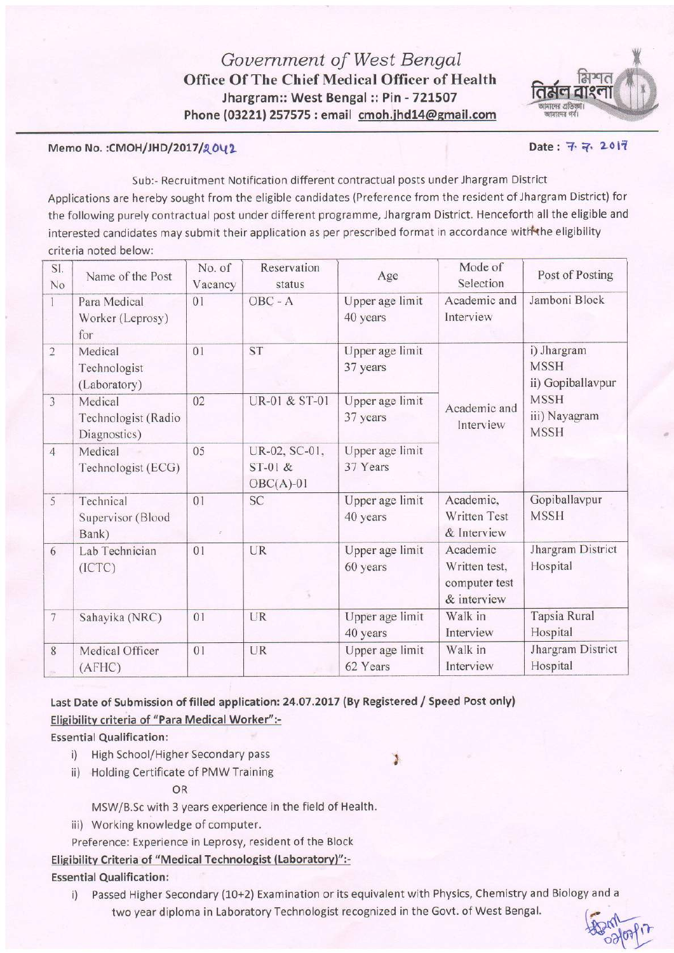

 $W_0 = 0.00817$ 

### Memo No. :CMOH/JHD/2017/2042

# Sub:- Recruitment Notification different contractual posts under Jhargram District

Applications are hereby sought from the eligible candidates (Preference from the resident of Jhargram District) for the following purely contractual post under different programme, jhargram District. Henceforth all the eligible and interested candidates may submit their application as per prescribed format in accordance with the eligibility criteria noted below:

| SI.<br>No      | Name of the Post                               | No. of<br>Vacancy | Reservation<br>status                     | Age                         | Mode of<br>Selection                                      | Post of Posting                                 |  |
|----------------|------------------------------------------------|-------------------|-------------------------------------------|-----------------------------|-----------------------------------------------------------|-------------------------------------------------|--|
|                | Para Medical<br>Worker (Leprosy)<br>for        | 01                | OBC - A                                   | Upper age limit<br>40 years | Academic and<br>Interview                                 | Jamboni Block                                   |  |
| $\sqrt{2}$     | Medical<br>Technologist<br>(Laboratory)        | 0 <sub>1</sub>    | <b>ST</b>                                 | Upper age limit<br>37 years |                                                           | i) Jhargram<br><b>MSSH</b><br>ii) Gopiballavpur |  |
| $\overline{3}$ | Medical<br>Technologist (Radio<br>Diagnostics) | 02                | <b>UR-01 &amp; ST-01</b>                  | Upper age limit<br>37 years | Academic and<br>Interview                                 | <b>MSSH</b><br>iii) Nayagram<br><b>MSSH</b>     |  |
| $\overline{4}$ | Medical<br>Technologist (ECG)                  | 05                | UR-02, SC-01,<br>$ST-01$ &<br>$OBC(A)-01$ | Upper age limit<br>37 Years |                                                           |                                                 |  |
| 5              | Technical<br>Supervisor (Blood<br>Bank)        | 01                | <b>SC</b>                                 | Upper age limit<br>40 years | Academic,<br>Written Test<br>& Interview                  | Gopiballavpur<br><b>MSSH</b>                    |  |
| 6              | Lab Technician<br>(ICTC)                       | 01                | UR                                        | Upper age limit<br>60 years | Academic<br>Written test,<br>computer test<br>& interview | Jhargram District<br>Hospital                   |  |
| 7              | Sahayika (NRC)                                 | 01                | UR                                        | Upper age limit<br>40 years | Walk in<br>Interview                                      | Tapsia Rural<br>Hospital                        |  |
| 8              | Medical Officer<br>(AFHC)                      | 01                | UR                                        | Upper age limit<br>62 Years | Walk in<br>Interview                                      | Jhargram District<br>Hospital                   |  |

Last Date of Submission of filled application: 24.07.2017 (By Registered / Speed Post only) Eligibility criteria of "Para Medical Worker":-

**Essential Qualification:** 

- i) High School/Higher Secondary pass
- ii) Holding Certificate of PMW Training

OR

!

MSW/B.Sc with 3 years experience in the field of Health.

iii) Working knowledge of computer.

Preference: Experience in Leprosy, resident of the Block

Eligibility Criteria of "Medical Technologist (Laboratory)" :-

**Essential Qualification:** 

i) Passed Higher Secondary (10+2) Examination or its equivalent with Physics, Chemistry and Biology and <sup>a</sup> two year diploma in Laboratory Technologist recognized in the Govt. of West Bengal.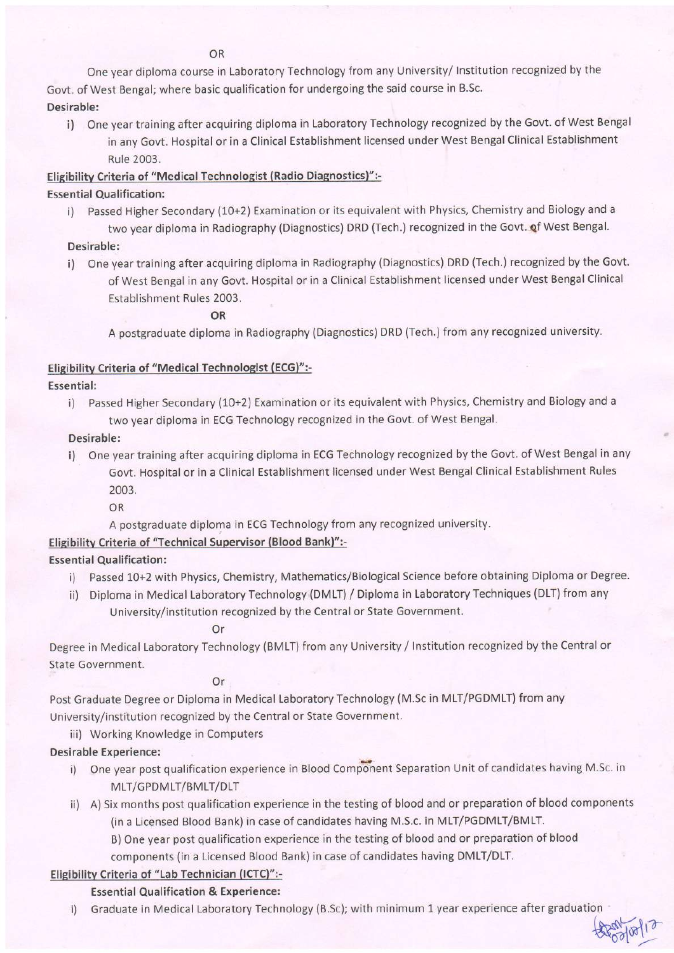OR

One year diploma course in Laboratory Technology from any University/ Institution recognized by the Govt. of West Bengal; where basic qualification for undergoing the said course in B.Sc.

Desirable:

i) One year training after acquiring diploma in Laboratory Technology recognized by the Govt. of West Bengal in any Govt. Hospital or in a Clinical Establishment licensed under West Bengal Clinical Establishment Rule 2003.

# Eligibilitv Criteria of "Medical Technologist (Radio Diagnostics)":-

# Essential Qualification:

i) Passed Higher Secondary (10+2) Examination or its equivalent with Physics, Chemistry and Biology and <sup>a</sup> two year diploma in Radiography (Diagnostics) DRD (Tech.) recognized in the Govt. of West Bengal.

# Desirable:

i) One year training after acquiring diploma in Radiography (Diagnostics) DRD (Tech.) recognized by the Govt. of West Bengal in any Govt. Hospital or in a Clinical Establishment licensed under West Bengal Clinical Establishment Rules 2003.

OR

A postgraduate diploma in Radiography (Diagnostics) DRD (Tech.) from any recognized university.

# Eligibility Criteria of "Medical Technologist (ECG)":-

### Essential:

i) Passed Higher Secondary (10+2) Examination or its equivalent with Physics, Chemistry and Biology and <sup>a</sup> two year diploma in ECG Technology recognized in the Govt. of West Bengal.

### Desirable:

- i) One year training after acquiring diploma in ECG Technology recognized by the Govt. of West Bengal in any Govt. Hospital or in a Clinical Establishment licensed under West Bengal Clinical Establishment Rules
	- 2003. OR

A postgraduate diploma in ECG Technology from any recognized university.

# Eligibilitv Criteria of "Technical Supervisor (Blood Bank)":-

### **Essential Qualification:**

- i) Passed 10+2 with Physics, Chemistry, Mathematics/Biological Science before obtaining Diploma or Degree.
- ii) Diploma in Medical Laboratory Technology (DMLT) / Diploma in Laboratory Techniques (DLT) from any University/institution recognized by the Central or State Government.

Or

Degree in Medical Laboratory Technology (BMLT) from any University / Institution recognized by the Central or State Government.

Or

Post Graduate Degree or Diploma in Medical Laboratory Technology (M.Sc in MLT/PGDMLT) from any University/institution recognized by the Central or State Government.

iii) Working Knowledge in Computers

# Desirable Experience:

- MLT/GPDMLT/BMLT/DLT i) One year post qualification experience in Blood Component Separation Unit of candidates having M.Sc. in
- ii) A) Six months post qualification experience in the testing of blood and or preparation of blood components (in a Licensed Blood Bank) in case of candidates having M.S.c. in MLT/PGDMLT/BMLT.
	- B) One year post qualification experience in the testing of blood and or preparation of blood components (in a Licensed Blood Bank) in case of candidates having DMLT/DLT.

# Elisibilitv Criteria of "Lab Technician (ICTC)":-

# Essential Qualification & Experience:

i) Graduate in Medical Laboratory Technology (B.Sc); with minimum 1 year experience after graduatior

 $\frac{1}{2}$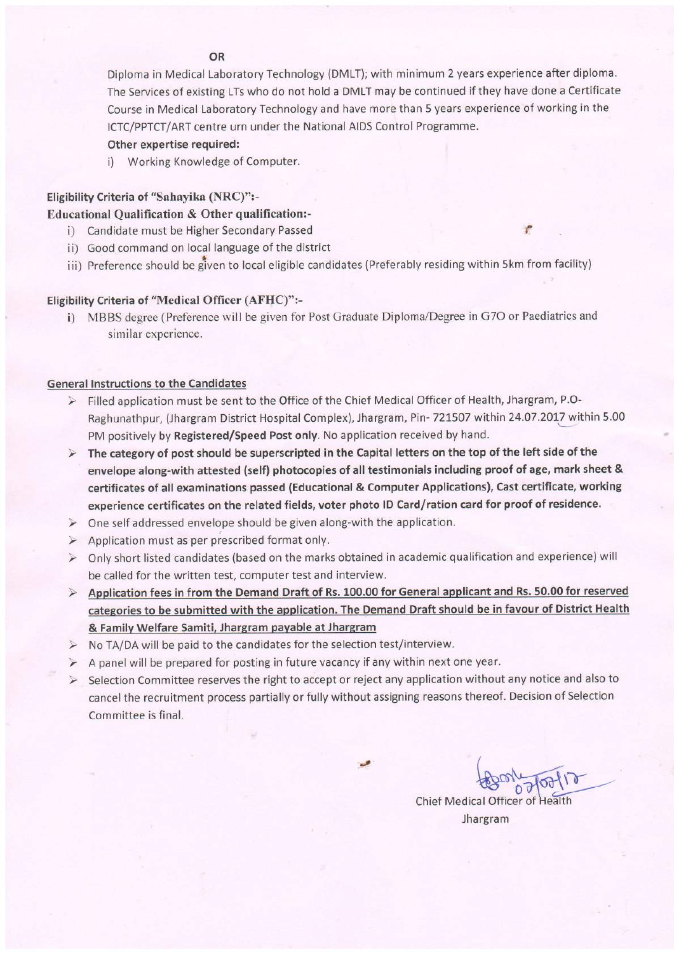#### OR

Diploma in Medical Laboratory Technology (DMLT); with minimum 2 years experience after diploma. The Services of existing LTs who do not hold a DMLT may be continued if they have done a Certificate Course in Medical Laboratory Technology and have more than 5 years experience of working in the ICTC/PPTCT/ART centre urn under the National AIDS Control Programme.

#### Other expertise required:

i) Working Knowledge of Computer.

#### Eligibility Criteria of "Sahayika (NRC)":-

#### Educational Qualification & Other qualification:-

- i) Candidate must be Higher Secondary Passed
- ii) Good command on local language of the district
- iii) Preference should be given to local eligible candidates (Preferably residing within 5km from facility)

#### Eligibility Criteria of "Medical Officer (AFHC)":-

i) MBBS degree (Preference will be given for Post Graduate Diploma/Degree in G7O or Paediatrics and similar experience.

#### General lnstructions to the Candidates

- > Filled application must be sent to the Office of the Chief Medical Officer of Health, Jhargram, P.O-Raghunathpur, (Jhargram District Hospital Complex), Jhargram, Pin- 721507 within 24.07.2017 within 5.00 PM positively by Registered/Speed Post only. No application received by hand.
- $\triangleright$  The category of post should be superscripted in the Capital letters on the top of the left side of the envelope along-with attested (self) photocopies of all testimonials including proof of age, mark sheet & certificates of all examinations passed (Educational & Computer Applications), Cast certificate, working experience certificates on the related fields, voter photo lD Card/ration card for proof of residence.
- $\triangleright$  One self addressed envelope should be given along-with the application.
- $\triangleright$  Application must as per prescribed format only.
- > Only short listed candidates (based on the marks obtained in academic qualification and experience) will be called for the written test, computer test and interview.
- > Application fees in from the Demand Draft of Rs. 100.00 for General applicant and Rs. 50.00 for reserved categories to be submitted with the application. The Demand Draft should be in favour of District Health & Familv Welfare Samiti. Jhargram pavable at Jhargram
- $\triangleright$  No TA/DA will be paid to the candidates for the selection test/interview.
- $\triangleright$  A panel will be prepared for posting in future vacancy if any within next one year.
- $\geq$  Selection Committee reserves the right to accept or reject any application without any notice and also to cancel the recruitment process partially or fully without assigning reasons thereof. Decision of Selection Committee is final.

Chief Medical Officer of Health

Jhargram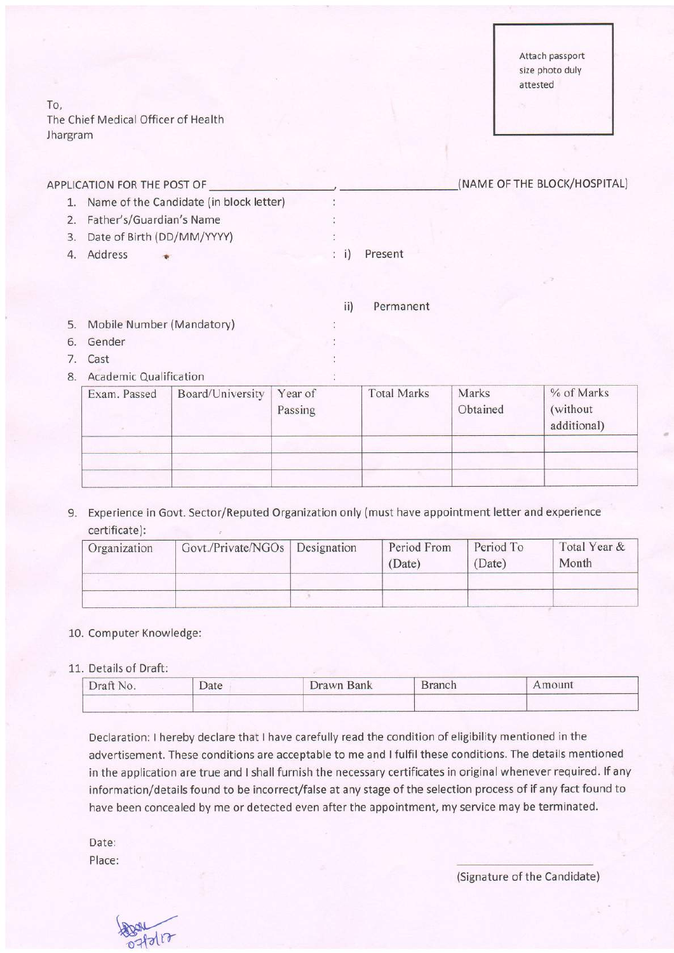To, The Chief Medical Officer of Health Jhargram

|         | APPLICATION FOR THE POST OF |                                         |  |         |  | (NAME OF THE BLOCK/HOSPITAL) |  |
|---------|-----------------------------|-----------------------------------------|--|---------|--|------------------------------|--|
|         |                             | Name of the Candidate (in block letter) |  |         |  |                              |  |
|         | Father's/Guardian's Name    |                                         |  |         |  |                              |  |
| 3.      | Date of Birth (DD/MM/YYYY)  |                                         |  |         |  |                              |  |
| Address |                             |                                         |  | Present |  |                              |  |
|         |                             |                                         |  |         |  |                              |  |

|    |                               |  | Permanent |
|----|-------------------------------|--|-----------|
| 5. | Mobile Number (Mandatory)     |  |           |
| 6. | Gender                        |  |           |
| 7  | Cast                          |  |           |
| 8. | <b>Academic Qualification</b> |  |           |

| Exam. Passed | Board/University | Year of<br>Passing | <b>Total Marks</b> | Marks<br>Obtained | % of Marks<br>(without)<br>additional) |
|--------------|------------------|--------------------|--------------------|-------------------|----------------------------------------|
|              |                  |                    |                    |                   |                                        |
|              |                  |                    |                    |                   |                                        |

9. Experience in Govt. Sector/Reputed Organization only (must have appointment letter and experience certificate):

| Organization | Govt./Private/NGOs   Designation | Period From<br>(Date) | Period To<br>(Date) | Total Year &<br>Month |
|--------------|----------------------------------|-----------------------|---------------------|-----------------------|
|              |                                  |                       |                     |                       |
|              |                                  |                       |                     |                       |

#### 10. Computer Knowledge:

#### 11. Details of Draft:

| Draft No. | Date | Drawn Bank | <b>Branch</b> | Amount |
|-----------|------|------------|---------------|--------|
|           |      |            |               |        |

Declaration: I hereby declare that lhave carefully read the condition of eligibility mentioned in the advertisement. These conditions are acceptable to me and I fulfil these conditions. The details mentioned in the application are true and I shall furnish the necessary certificates in original whenever required. lf any information/details found to be incorrect/false at any stage of the selection process of if any fact found to have been concealed by me or detected even after the appointment, my service may be terminated.

Date: Place:

 $H$ d $n$ 

(Signature of the Candidate)